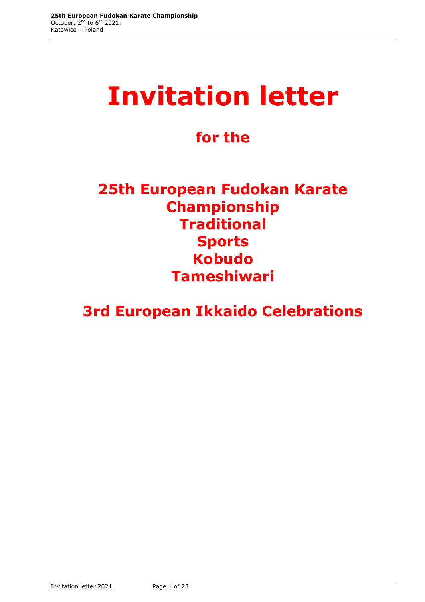## **Invitation letter**

## **for the**

## **25th European Fudokan Karate Championship Traditional Sports Kobudo Tameshiwari**

**3rd European Ikkaido Celebrations**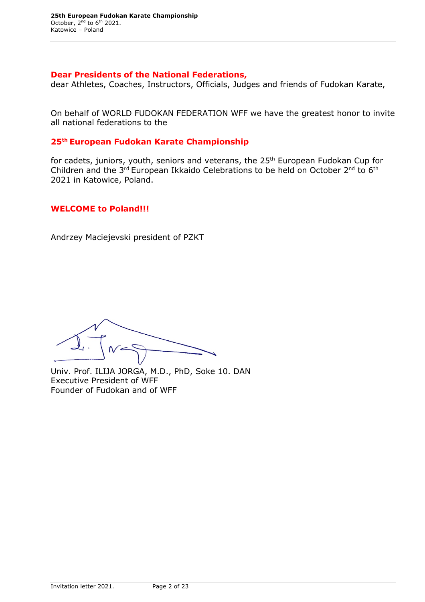#### **Dear Presidents of the National Federations,**

dear Athletes, Coaches, Instructors, Officials, Judges and friends of Fudokan Karate,

On behalf of WORLD FUDOKAN FEDERATION WFF we have the greatest honor to invite all national federations to the

#### **25th European Fudokan Karate Championship**

for cadets, juniors, youth, seniors and veterans, the 25<sup>th</sup> European Fudokan Cup for Children and the 3<sup>rd</sup> European Ikkaido Celebrations to be held on October 2<sup>nd</sup> to 6<sup>th</sup> 2021 in Katowice, Poland.

#### **WELCOME to Poland!!!**

Andrzey Maciejevski president of PZKT

Univ. Prof. ILIJA JORGA, M.D., PhD, Soke 10. DAN Executive President of WFF Founder of Fudokan and of WFF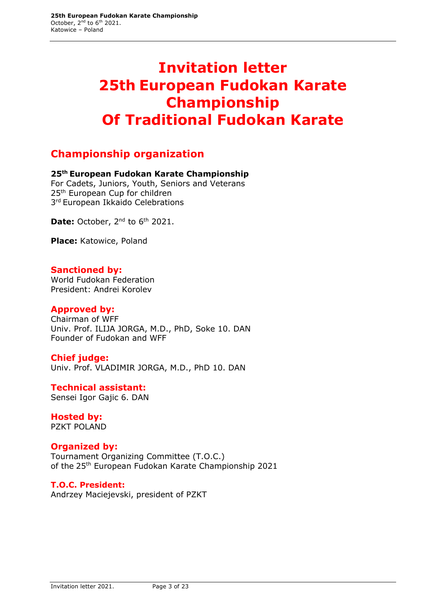## **Invitation letter 25th European Fudokan Karate Championship Of Traditional Fudokan Karate**

#### **Championship organization**

#### **25th European Fudokan Karate Championship**

For Cadets, Juniors, Youth, Seniors and Veterans 25<sup>th</sup> European Cup for children 3<sup>rd</sup> European Ikkaido Celebrations

**Date:** October, 2<sup>nd</sup> to 6<sup>th</sup> 2021.

**Place:** Katowice, Poland

#### **Sanctioned by:**

World Fudokan Federation President: Andrei Korolev

#### **Approved by:**

Chairman of WFF Univ. Prof. ILIJA JORGA, M.D., PhD, Soke 10. DAN Founder of Fudokan and WFF

#### **Chief judge:**

Univ. Prof. VLADIMIR JORGA, M.D., PhD 10. DAN

**Technical assistant:**  Sensei Igor Gajic 6. DAN

**Hosted by:** PZKT POLAND

#### **Organized by:**

Tournament Organizing Committee (T.O.C.) of the 25<sup>th</sup> European Fudokan Karate Championship 2021

#### **T.O.C. President:**

Andrzey Maciejevski, president of PZKT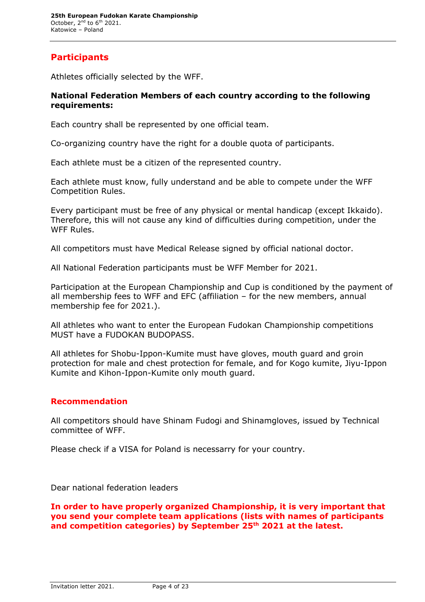#### **Participants**

Athletes officially selected by the WFF.

#### **National Federation Members of each country according to the following requirements:**

Each country shall be represented by one official team.

Co-organizing country have the right for a double quota of participants.

Each athlete must be a citizen of the represented country.

Each athlete must know, fully understand and be able to compete under the WFF Competition Rules.

Every participant must be free of any physical or mental handicap (except Ikkaido). Therefore, this will not cause any kind of difficulties during competition, under the WFF Rules.

All competitors must have Medical Release signed by official national doctor.

All National Federation participants must be WFF Member for 2021.

Participation at the European Championship and Cup is conditioned by the payment of all membership fees to WFF and EFC (affiliation – for the new members, annual membership fee for 2021.).

All athletes who want to enter the European Fudokan Championship competitions MUST have a FUDOKAN BUDOPASS.

All athletes for Shobu-Ippon-Kumite must have gloves, mouth guard and groin protection for male and chest protection for female, and for Kogo kumite, Jiyu-Ippon Kumite and Kihon-Ippon-Kumite only mouth guard.

#### **Recommendation**

All competitors should have Shinam Fudogi and Shinamgloves, issued by Technical committee of WFF.

Please check if a VISA for Poland is necessarry for your country.

Dear national federation leaders

**In order to have properly organized Championship, it is very important that you send your complete team applications (lists with names of participants and competition categories) by September 25th 2021 at the latest.**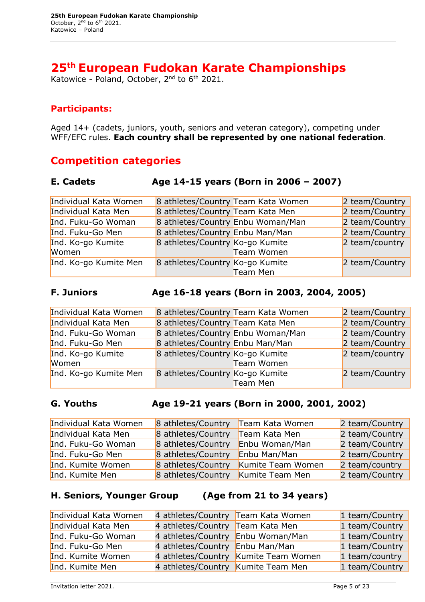### **25th European Fudokan Karate Championships**

Katowice - Poland, October, 2nd to 6th 2021.

#### **Participants:**

Aged 14+ (cadets, juniors, youth, seniors and veteran category), competing under WFF/EFC rules. **Each country shall be represented by one national federation**.

#### **Competition categories**

#### **E. Cadets Age 14-15 years (Born in 2006 – 2007)**

| Individual Kata Women | 8 athletes/Country Team Kata Women |            | 2 team/Country |
|-----------------------|------------------------------------|------------|----------------|
| Individual Kata Men   | 8 athletes/Country Team Kata Men   |            | 2 team/Country |
| Ind. Fuku-Go Woman    | 8 athletes/Country Enbu Woman/Man  |            | 2 team/Country |
| Ind. Fuku-Go Men      | 8 athletes/Country Enbu Man/Man    |            | 2 team/Country |
| Ind. Ko-go Kumite     | 8 athletes/Country Ko-go Kumite    |            | 2 team/country |
| Women                 |                                    | Team Women |                |
| Ind. Ko-go Kumite Men | 8 athletes/Country Ko-go Kumite    |            | 2 team/Country |
|                       |                                    | Team Men   |                |

#### **F. Juniors Age 16-18 years (Born in 2003, 2004, 2005)**

| Individual Kata Women |                                   | 8 athletes/Country Team Kata Women | 2 team/Country |
|-----------------------|-----------------------------------|------------------------------------|----------------|
| Individual Kata Men   | 8 athletes/Country Team Kata Men  |                                    | 2 team/Country |
| Ind. Fuku-Go Woman    | 8 athletes/Country Enbu Woman/Man |                                    | 2 team/Country |
| Ind. Fuku-Go Men      | 8 athletes/Country Enbu Man/Man   |                                    | 2 team/Country |
| Ind. Ko-go Kumite     | 8 athletes/Country Ko-go Kumite   |                                    | 2 team/country |
| Women                 |                                   | Team Women                         |                |
| Ind. Ko-go Kumite Men | 8 athletes/Country Ko-go Kumite   |                                    | 2 team/Country |
|                       |                                   | Team Men                           |                |

#### **G. Youths Age 19-21 years (Born in 2000, 2001, 2002)**

| Individual Kata Women | 8 athletes/Country | Team Kata Women   | 2 team/Country |
|-----------------------|--------------------|-------------------|----------------|
| Individual Kata Men   | 8 athletes/Country | Team Kata Men     | 2 team/Country |
| Ind. Fuku-Go Woman    | 8 athletes/Country | Enbu Woman/Man    | 2 team/Country |
| Ind. Fuku-Go Men      | 8 athletes/Country | Enbu Man/Man      | 2 team/Country |
| Ind. Kumite Women     | 8 athletes/Country | Kumite Team Women | 2 team/country |
| Ind. Kumite Men       | 8 athletes/Country | Kumite Team Men   | 2 team/Country |

#### **H. Seniors, Younger Group (Age from 21 to 34 years)**

| Individual Kata Women | 4 athletes/Country Team Kata Women |                                      | 1 team/Country |
|-----------------------|------------------------------------|--------------------------------------|----------------|
| Individual Kata Men   | 4 athletes/Country Team Kata Men   |                                      | 1 team/Country |
| Ind. Fuku-Go Woman    | 4 athletes/Country Enbu Woman/Man  |                                      | 1 team/Country |
| Ind. Fuku-Go Men      | 4 athletes/Country Enbu Man/Man    |                                      | 1 team/Country |
| Ind. Kumite Women     |                                    | 4 athletes/Country Kumite Team Women | 1 team/country |
| Ind. Kumite Men       | 4 athletes/Country Kumite Team Men |                                      | 1 team/Country |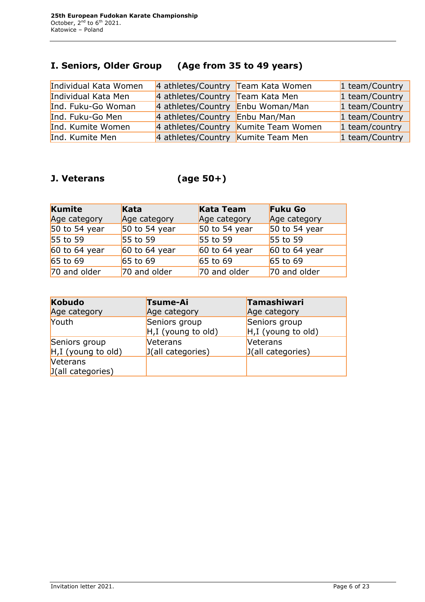#### **I. Seniors, Older Group (Age from 35 to 49 years)**

| Individual Kata Women | 4 athletes/Country Team Kata Women |                                      | 1 team/Country |
|-----------------------|------------------------------------|--------------------------------------|----------------|
| Individual Kata Men   | 4 athletes/Country Team Kata Men   |                                      | 1 team/Country |
| Ind. Fuku-Go Woman    | 4 athletes/Country Enbu Woman/Man  |                                      | 1 team/Country |
| Ind. Fuku-Go Men      | 4 athletes/Country Enbu Man/Man    |                                      | 1 team/Country |
| Ind. Kumite Women     |                                    | 4 athletes/Country Kumite Team Women | 1 team/country |
| Ind. Kumite Men       | 4 athletes/Country Kumite Team Men |                                      | 1 team/Country |

### **J. Veterans (age 50+)**

| <b>Kumite</b>   | Kata            | <b>Kata Team</b> | <b>Fuku Go</b>  |
|-----------------|-----------------|------------------|-----------------|
| Age category    | Age category    | Age category     | Age category    |
| 50 to 54 year   | 50 to 54 year   | 50 to 54 year    | 50 to 54 year   |
| $55$ to 59      | 55 to 59        | $55$ to 59       | 55 to 59        |
| $60$ to 64 year | $60$ to 64 year | $60$ to 64 year  | $60$ to 64 year |
| $65$ to 69      | $65$ to 69      | $65$ to 69       | $65$ to 69      |
| 70 and older    | 70 and older    | 70 and older     | 70 and older    |

| <b>Kobudo</b>                     | Tsume-Ai                                        | Tamashiwari                         |
|-----------------------------------|-------------------------------------------------|-------------------------------------|
| Age category                      | Age category                                    | Age category                        |
| Youth                             | Seniors group<br>H <sub>,I</sub> (young to old) | Seniors group<br>H,I (young to old) |
| Seniors group                     | Veterans                                        | Veterans                            |
| $H, I$ (young to old)<br>Veterans | J(all categories)                               | J(all categories)                   |
| $J($ all categories)              |                                                 |                                     |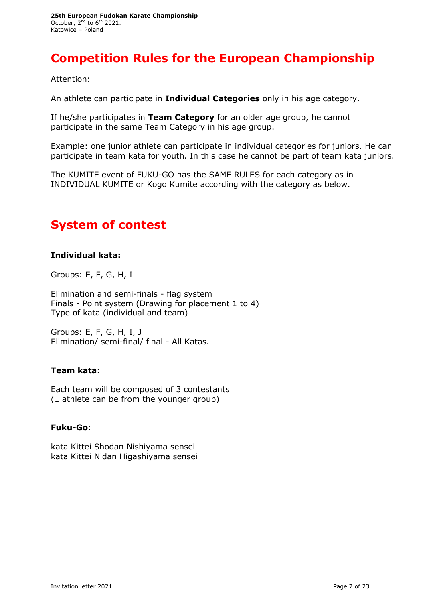## **Competition Rules for the European Championship**

Attention:

An athlete can participate in **Individual Categories** only in his age category.

If he/she participates in **Team Category** for an older age group, he cannot participate in the same Team Category in his age group.

Example: one junior athlete can participate in individual categories for juniors. He can participate in team kata for youth. In this case he cannot be part of team kata juniors.

The KUMITE event of FUKU-GO has the SAME RULES for each category as in INDIVIDUAL KUMITE or Kogo Kumite according with the category as below.

### **System of contest**

#### **Individual kata:**

Groups: E, F, G, H, I

Elimination and semi-finals - flag system Finals - Point system (Drawing for placement 1 to 4) Type of kata (individual and team)

Groups: E, F, G, H, I, J Elimination/ semi-final/ final - All Katas.

#### **Team kata:**

Each team will be composed of 3 contestants (1 athlete can be from the younger group)

#### **Fuku-Go:**

kata Kittei Shodan Nishiyama sensei kata Kittei Nidan Higashiyama sensei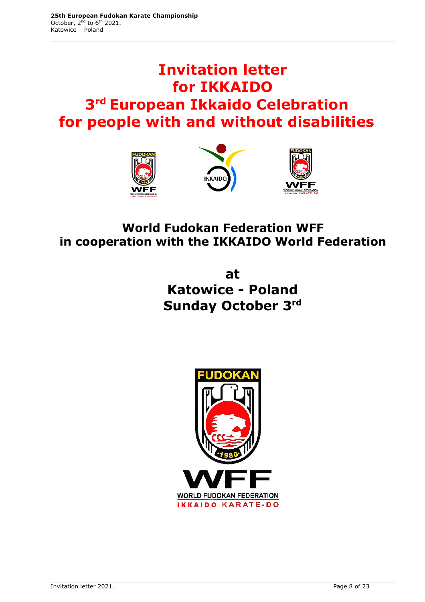## **Invitation letter for IKKAIDO 3rd European Ikkaido Celebration for people with and without disabilities**



## **World Fudokan Federation WFF in cooperation with the IKKAIDO World Federation**

**at Katowice - Poland Sunday October 3rd**

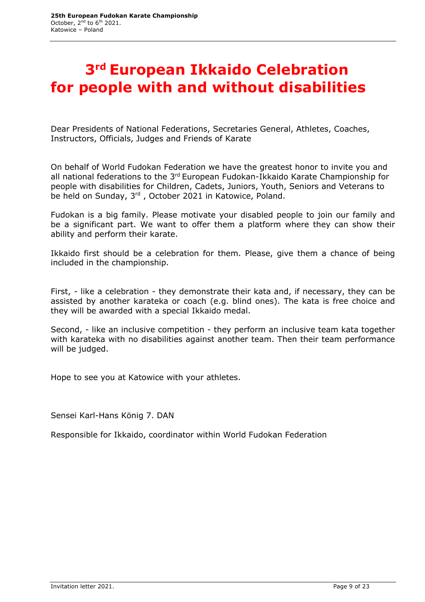## **3rd European Ikkaido Celebration for people with and without disabilities**

Dear Presidents of National Federations, Secretaries General, Athletes, Coaches, Instructors, Officials, Judges and Friends of Karate

On behalf of World Fudokan Federation we have the greatest honor to invite you and all national federations to the 3<sup>rd</sup> European Fudokan-Ikkaido Karate Championship for people with disabilities for Children, Cadets, Juniors, Youth, Seniors and Veterans to be held on Sunday, 3<sup>rd</sup>, October 2021 in Katowice, Poland.

Fudokan is a big family. Please motivate your disabled people to join our family and be a significant part. We want to offer them a platform where they can show their ability and perform their karate.

Ikkaido first should be a celebration for them. Please, give them a chance of being included in the championship.

First, - like a celebration - they demonstrate their kata and, if necessary, they can be assisted by another karateka or coach (e.g. blind ones). The kata is free choice and they will be awarded with a special Ikkaido medal.

Second, - like an inclusive competition - they perform an inclusive team kata together with karateka with no disabilities against another team. Then their team performance will be judged.

Hope to see you at Katowice with your athletes.

Sensei Karl-Hans König 7. DAN

Responsible for Ikkaido, coordinator within World Fudokan Federation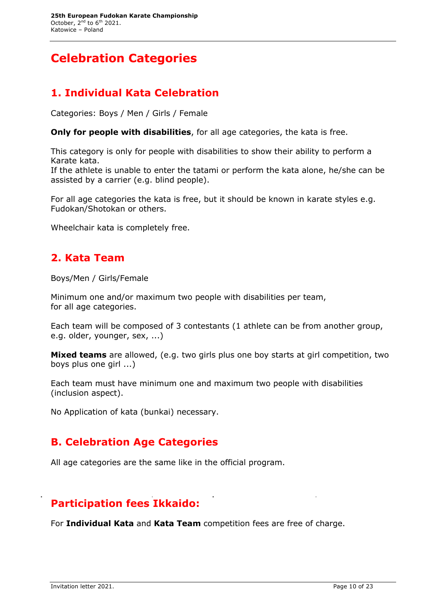## **Celebration Categories**

#### **1. Individual Kata Celebration**

Categories: Boys / Men / Girls / Female

**Only for people with disabilities**, for all age categories, the kata is free.

This category is only for people with disabilities to show their ability to perform a Karate kata.

If the athlete is unable to enter the tatami or perform the kata alone, he/she can be assisted by a carrier (e.g. blind people).

For all age categories the kata is free, but it should be known in karate styles e.g. Fudokan/Shotokan or others.

Wheelchair kata is completely free.

#### **2. Kata Team**

Boys/Men / Girls/Female

Minimum one and/or maximum two people with disabilities per team, for all age categories.

Each team will be composed of 3 contestants (1 athlete can be from another group, e.g. older, younger, sex, ...)

**Mixed teams** are allowed, (e.g. two girls plus one boy starts at girl competition, two boys plus one girl ...)

Each team must have minimum one and maximum two people with disabilities (inclusion aspect).

No Application of kata (bunkai) necessary.

#### **B. Celebration Age Categories**

All age categories are the same like in the official program.

### **Participation fees Ikkaido:**

For **Individual Kata** and **Kata Team** competition fees are free of charge.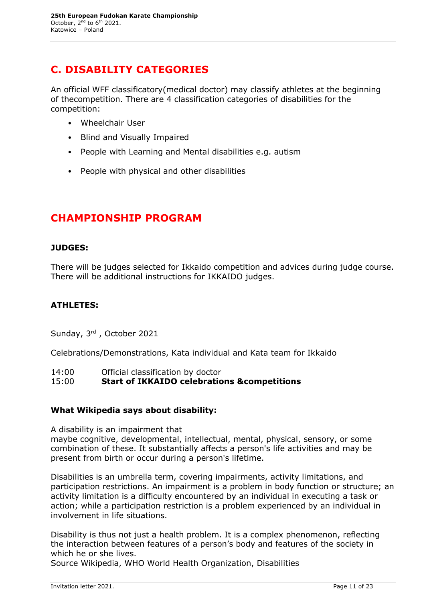#### **C. DISABILITY CATEGORIES**

An official WFF classificatory(medical doctor) may classify athletes at the beginning of thecompetition. There are 4 classification categories of disabilities for the competition:

- Wheelchair User
- Blind and Visually Impaired
- People with Learning and Mental disabilities e.g. autism
- People with physical and other disabilities

#### **CHAMPIONSHIP PROGRAM**

#### **JUDGES:**

There will be judges selected for Ikkaido competition and advices during judge course. There will be additional instructions for IKKAIDO judges.

#### **ATHLETES:**

Sunday, 3rd, October 2021

Celebrations/Demonstrations, Kata individual and Kata team for Ikkaido

14:00 Official classification by doctor

#### 15:00 **Start of IKKAIDO celebrations &competitions**

#### **What Wikipedia says about disability:**

A disability is an impairment that maybe cognitive, developmental, intellectual, mental, physical, sensory, or some combination of these. It substantially affects a person's life activities and may be present from birth or occur during a person's lifetime.

Disabilities is an umbrella term, covering impairments, activity limitations, and participation restrictions. An impairment is a problem in body function or structure; an activity limitation is a difficulty encountered by an individual in executing a task or action; while a participation restriction is a problem experienced by an individual in involvement in life situations.

Disability is thus not just a health problem. It is a complex phenomenon, reflecting the interaction between features of a person's body and features of the society in which he or she lives.

Source Wikipedia, WHO World Health Organization, Disabilities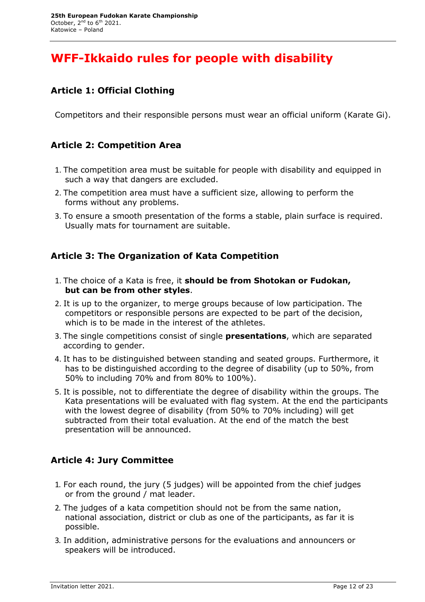## **WFF-Ikkaido rules for people with disability**

#### **Article 1: Official Clothing**

Competitors and their responsible persons must wear an official uniform (Karate Gi).

#### **Article 2: Competition Area**

- 1. The competition area must be suitable for people with disability and equipped in such a way that dangers are excluded.
- 2. The competition area must have a sufficient size, allowing to perform the forms without any problems.
- 3. To ensure a smooth presentation of the forms a stable, plain surface is required. Usually mats for tournament are suitable.

#### **Article 3: The Organization of Kata Competition**

- 1. The choice of a Kata is free, it **should be from Shotokan or Fudokan, but can be from other styles**.
- 2. It is up to the organizer, to merge groups because of low participation. The competitors or responsible persons are expected to be part of the decision, which is to be made in the interest of the athletes.
- 3. The single competitions consist of single **presentations**, which are separated according to gender.
- 4. It has to be distinguished between standing and seated groups. Furthermore, it has to be distinguished according to the degree of disability (up to 50%, from 50% to including 70% and from 80% to 100%).
- 5. It is possible, not to differentiate the degree of disability within the groups. The Kata presentations will be evaluated with flag system. At the end the participants with the lowest degree of disability (from 50% to 70% including) will get subtracted from their total evaluation. At the end of the match the best presentation will be announced.

#### **Article 4: Jury Committee**

- 1. For each round, the jury (5 judges) will be appointed from the chief judges or from the ground / mat leader.
- 2. The judges of a kata competition should not be from the same nation, national association, district or club as one of the participants, as far it is possible.
- 3. In addition, administrative persons for the evaluations and announcers or speakers will be introduced.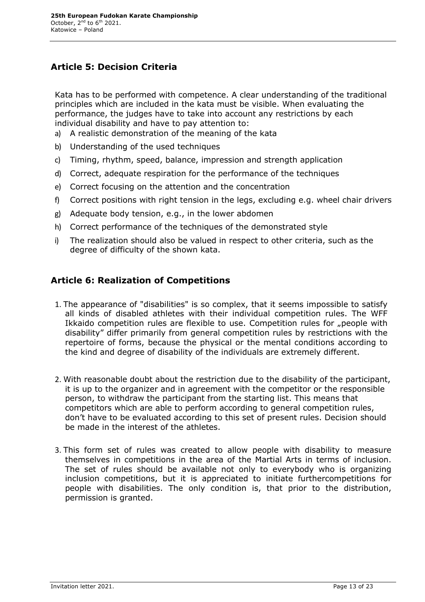#### **Article 5: Decision Criteria**

Kata has to be performed with competence. A clear understanding of the traditional principles which are included in the kata must be visible. When evaluating the performance, the judges have to take into account any restrictions by each individual disability and have to pay attention to:

- a) A realistic demonstration of the meaning of the kata
- b) Understanding of the used techniques
- c) Timing, rhythm, speed, balance, impression and strength application
- d) Correct, adequate respiration for the performance of the techniques
- e) Correct focusing on the attention and the concentration
- f) Correct positions with right tension in the legs, excluding e.g. wheel chair drivers
- g) Adequate body tension, e.g., in the lower abdomen
- h) Correct performance of the techniques of the demonstrated style
- i) The realization should also be valued in respect to other criteria, such as the degree of difficulty of the shown kata.

#### **Article 6: Realization of Competitions**

- 1. The appearance of "disabilities" is so complex, that it seems impossible to satisfy all kinds of disabled athletes with their individual competition rules. The WFF Ikkaido competition rules are flexible to use. Competition rules for "people with disability" differ primarily from general competition rules by restrictions with the repertoire of forms, because the physical or the mental conditions according to the kind and degree of disability of the individuals are extremely different.
- 2. With reasonable doubt about the restriction due to the disability of the participant, it is up to the organizer and in agreement with the competitor or the responsible person, to withdraw the participant from the starting list. This means that competitors which are able to perform according to general competition rules, don't have to be evaluated according to this set of present rules. Decision should be made in the interest of the athletes.
- 3. This form set of rules was created to allow people with disability to measure themselves in competitions in the area of the Martial Arts in terms of inclusion. The set of rules should be available not only to everybody who is organizing inclusion competitions, but it is appreciated to initiate furthercompetitions for people with disabilities. The only condition is, that prior to the distribution, permission is granted.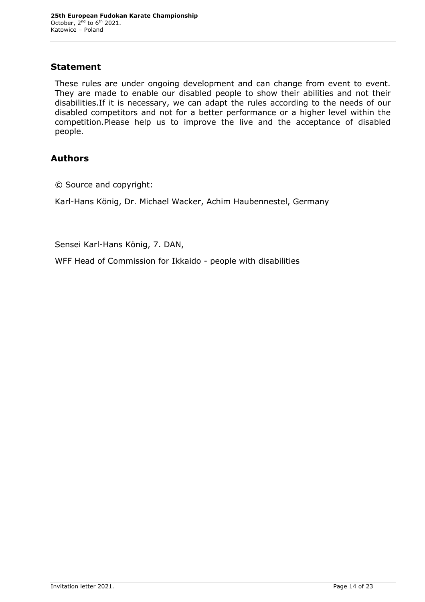#### **Statement**

These rules are under ongoing development and can change from event to event. They are made to enable our disabled people to show their abilities and not their disabilities.If it is necessary, we can adapt the rules according to the needs of our disabled competitors and not for a better performance or a higher level within the competition.Please help us to improve the live and the acceptance of disabled people.

#### **Authors**

© Source and copyright:

Karl-Hans König, Dr. Michael Wacker, Achim Haubennestel, Germany

Sensei Karl-Hans König, 7. DAN,

WFF Head of Commission for Ikkaido - people with disabilities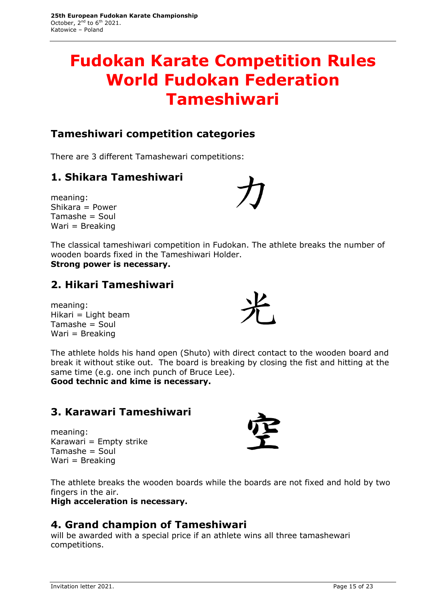## **Fudokan Karate Competition Rules World Fudokan Federation Tameshiwari**

#### **Tameshiwari competition categories**

There are 3 different Tamashewari competitions:

#### **1. Shikara Tameshiwari**

meaning: Shikara = Power Tamashe = Soul Wari = Breaking

The classical tameshiwari competition in Fudokan. The athlete breaks the number of wooden boards fixed in the Tameshiwari Holder. **Strong power is necessary.** 

#### **2. Hikari Tameshiwari**

meaning:  $Hikari = Light beam$ Tamashe = Soul Wari = Breaking

The athlete holds his hand open (Shuto) with direct contact to the wooden board and break it without stike out. The board is breaking by closing the fist and hitting at the same time (e.g. one inch punch of Bruce Lee).

**Good technic and kime is necessary.**

#### **3. Karawari Tameshiwari**

meaning: Karawari = Empty strike Tamashe = Soul Wari = Breaking



The athlete breaks the wooden boards while the boards are not fixed and hold by two fingers in the air.

**High acceleration is necessary.**

#### **4. Grand champion of Tameshiwari**

will be awarded with a special price if an athlete wins all three tamashewari competitions.

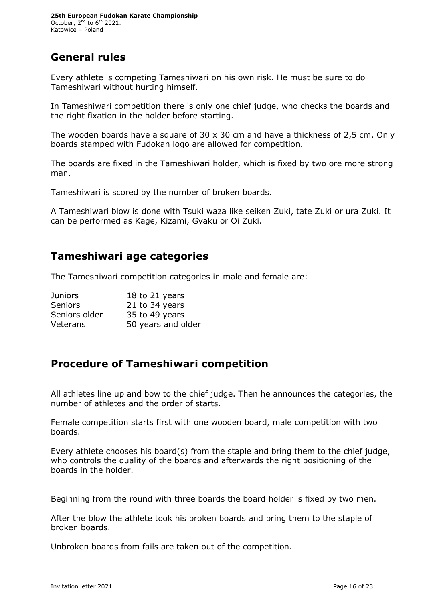#### **General rules**

Every athlete is competing Tameshiwari on his own risk. He must be sure to do Tameshiwari without hurting himself.

In Tameshiwari competition there is only one chief judge, who checks the boards and the right fixation in the holder before starting.

The wooden boards have a square of 30 x 30 cm and have a thickness of 2,5 cm. Only boards stamped with Fudokan logo are allowed for competition.

The boards are fixed in the Tameshiwari holder, which is fixed by two ore more strong man.

Tameshiwari is scored by the number of broken boards.

A Tameshiwari blow is done with Tsuki waza like seiken Zuki, tate Zuki or ura Zuki. It can be performed as Kage, Kizami, Gyaku or Oi Zuki.

#### **Tameshiwari age categories**

The Tameshiwari competition categories in male and female are:

| <b>Juniors</b> | 18 to 21 years     |
|----------------|--------------------|
| <b>Seniors</b> | 21 to 34 years     |
| Seniors older  | 35 to 49 years     |
| Veterans       | 50 years and older |

#### **Procedure of Tameshiwari competition**

All athletes line up and bow to the chief judge. Then he announces the categories, the number of athletes and the order of starts.

Female competition starts first with one wooden board, male competition with two boards.

Every athlete chooses his board(s) from the staple and bring them to the chief judge, who controls the quality of the boards and afterwards the right positioning of the boards in the holder.

Beginning from the round with three boards the board holder is fixed by two men.

After the blow the athlete took his broken boards and bring them to the staple of broken boards.

Unbroken boards from fails are taken out of the competition.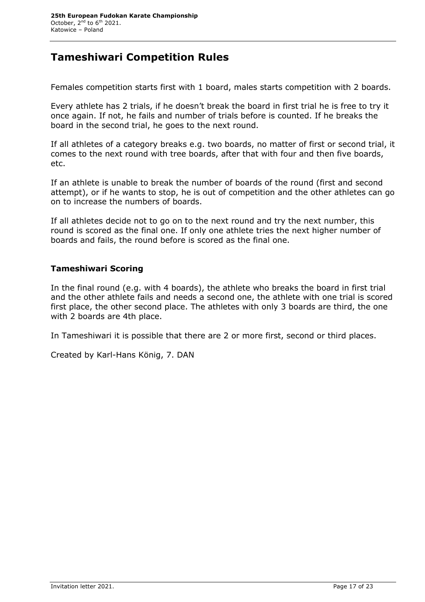#### **Tameshiwari Competition Rules**

Females competition starts first with 1 board, males starts competition with 2 boards.

Every athlete has 2 trials, if he doesn't break the board in first trial he is free to try it once again. If not, he fails and number of trials before is counted. If he breaks the board in the second trial, he goes to the next round.

If all athletes of a category breaks e.g. two boards, no matter of first or second trial, it comes to the next round with tree boards, after that with four and then five boards, etc.

If an athlete is unable to break the number of boards of the round (first and second attempt), or if he wants to stop, he is out of competition and the other athletes can go on to increase the numbers of boards.

If all athletes decide not to go on to the next round and try the next number, this round is scored as the final one. If only one athlete tries the next higher number of boards and fails, the round before is scored as the final one.

#### **Tameshiwari Scoring**

In the final round (e.g. with 4 boards), the athlete who breaks the board in first trial and the other athlete fails and needs a second one, the athlete with one trial is scored first place, the other second place. The athletes with only 3 boards are third, the one with 2 boards are 4th place.

In Tameshiwari it is possible that there are 2 or more first, second or third places.

Created by Karl-Hans König, 7. DAN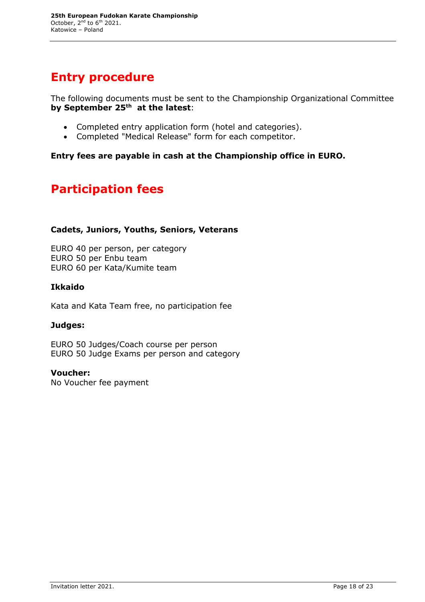## **Entry procedure**

The following documents must be sent to the Championship Organizational Committee **by September 25th at the latest**:

- Completed entry application form (hotel and categories).
- Completed "Medical Release" form for each competitor.

**Entry fees are payable in cash at the Championship office in EURO.**

## **Participation fees**

#### **Cadets, Juniors, Youths, Seniors, Veterans**

EURO 40 per person, per category EURO 50 per Enbu team EURO 60 per Kata/Kumite team

#### **Ikkaido**

Kata and Kata Team free, no participation fee

#### **Judges:**

EURO 50 Judges/Coach course per person EURO 50 Judge Exams per person and category

#### **Voucher:**

No Voucher fee payment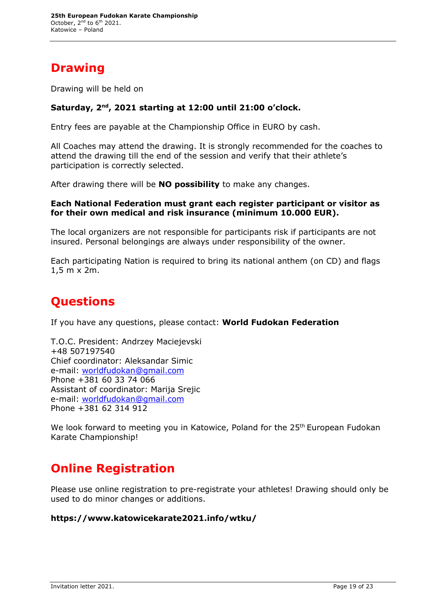## **Drawing**

Drawing will be held on

#### **Saturday, 2nd, 2021 starting at 12:00 until 21:00 o'clock.**

Entry fees are payable at the Championship Office in EURO by cash.

All Coaches may attend the drawing. It is strongly recommended for the coaches to attend the drawing till the end of the session and verify that their athlete's participation is correctly selected.

After drawing there will be **NO possibility** to make any changes.

#### **Each National Federation must grant each register participant or visitor as for their own medical and risk insurance (minimum 10.000 EUR).**

The local organizers are not responsible for participants risk if participants are not insured. Personal belongings are always under responsibility of the owner.

Each participating Nation is required to bring its national anthem (on CD) and flags 1,5 m x 2m.

## **Questions**

If you have any questions, please contact: **World Fudokan Federation**

T.O.C. President: Andrzey Maciejevski +48 507197540 Chief coordinator: Aleksandar Simic e-mail: worldfudokan@gmail.com Phone +381 60 33 74 066 Assistant of coordinator: Marija Srejic e-mail: worldfudokan@gmail.com Phone +381 62 314 912

We look forward to meeting you in Katowice, Poland for the 25<sup>th</sup> European Fudokan Karate Championship!

## **Online Registration**

Please use online registration to pre-registrate your athletes! Drawing should only be used to do minor changes or additions.

#### **https://www.katowicekarate2021.info/wtku/**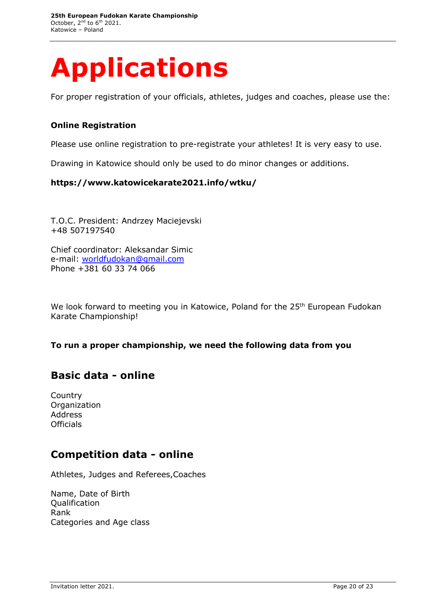# **Applications**

For proper registration of your officials, athletes, judges and coaches, please use the:

#### **Online Registration**

Please use online registration to pre-registrate your athletes! It is very easy to use.

Drawing in Katowice should only be used to do minor changes or additions.

#### **https://www.katowicekarate2021.info/wtku/**

T.O.C. President: Andrzey Maciejevski +48 507197540

Chief coordinator: Aleksandar Simic e-mail: worldfudokan@gmail.com Phone +381 60 33 74 066

We look forward to meeting you in Katowice, Poland for the 25<sup>th</sup> European Fudokan Karate Championship!

#### **To run a proper championship, we need the following data from you**

#### **Basic data - online**

**Country Organization** Address **Officials** 

#### **Competition data - online**

Athletes, Judges and Referees,Coaches

Name, Date of Birth Qualification Rank Categories and Age class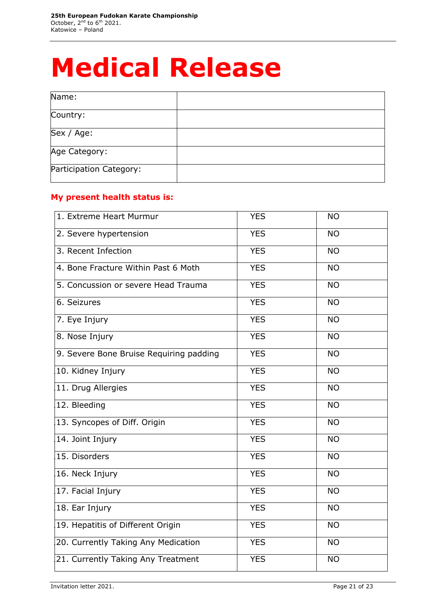## **Medical Release**

| Name:                   |  |
|-------------------------|--|
| Country:                |  |
| Sex / Age:              |  |
| Age Category:           |  |
| Participation Category: |  |

#### **My present health status is:**

| 1. Extreme Heart Murmur                 | <b>YES</b> | <b>NO</b> |
|-----------------------------------------|------------|-----------|
| 2. Severe hypertension                  | <b>YES</b> | <b>NO</b> |
| 3. Recent Infection                     | <b>YES</b> | <b>NO</b> |
| 4. Bone Fracture Within Past 6 Moth     | <b>YES</b> | <b>NO</b> |
| 5. Concussion or severe Head Trauma     | <b>YES</b> | <b>NO</b> |
| 6. Seizures                             | <b>YES</b> | <b>NO</b> |
| 7. Eye Injury                           | <b>YES</b> | <b>NO</b> |
| 8. Nose Injury                          | <b>YES</b> | <b>NO</b> |
| 9. Severe Bone Bruise Requiring padding | <b>YES</b> | <b>NO</b> |
| 10. Kidney Injury                       | <b>YES</b> | <b>NO</b> |
| 11. Drug Allergies                      | <b>YES</b> | <b>NO</b> |
| 12. Bleeding                            | <b>YES</b> | <b>NO</b> |
| 13. Syncopes of Diff. Origin            | <b>YES</b> | <b>NO</b> |
| 14. Joint Injury                        | <b>YES</b> | <b>NO</b> |
| 15. Disorders                           | <b>YES</b> | <b>NO</b> |
| 16. Neck Injury                         | <b>YES</b> | <b>NO</b> |
| 17. Facial Injury                       | <b>YES</b> | <b>NO</b> |
| 18. Ear Injury                          | <b>YES</b> | <b>NO</b> |
| 19. Hepatitis of Different Origin       | <b>YES</b> | <b>NO</b> |
| 20. Currently Taking Any Medication     | <b>YES</b> | <b>NO</b> |
| 21. Currently Taking Any Treatment      | <b>YES</b> | <b>NO</b> |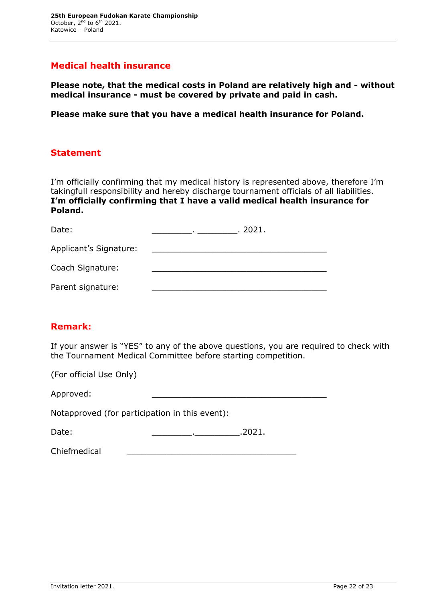#### **Medical health insurance**

**Please note, that the medical costs in Poland are relatively high and - without medical insurance - must be covered by private and paid in cash.**

**Please make sure that you have a medical health insurance for Poland.**

#### **Statement**

I'm officially confirming that my medical history is represented above, therefore I'm takingfull responsibility and hereby discharge tournament officials of all liabilities. **I'm officially confirming that I have a valid medical health insurance for Poland.**

| Date:                  | -2021. |
|------------------------|--------|
| Applicant's Signature: |        |
| Coach Signature:       |        |
| Parent signature:      |        |

#### **Remark:**

If your answer is "YES" to any of the above questions, you are required to check with the Tournament Medical Committee before starting competition.

| (For official Use Only)                        |        |
|------------------------------------------------|--------|
| Approved:                                      |        |
| Notapproved (for participation in this event): |        |
| Date:                                          | .2021. |
| Chiefmedical                                   |        |